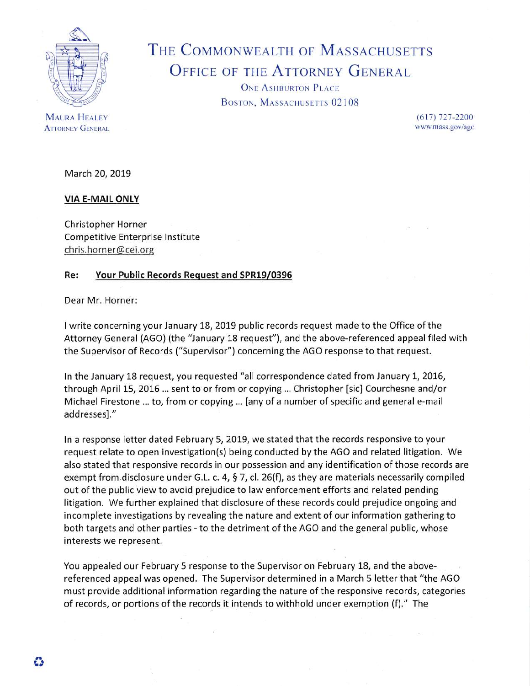

THE COMMONWEALTH OF MASSACHUSETTS OFFICE OF THE ATTORNEY GENERAL

> ONE ASHBURTON PLACE BOSTON, MASSACHUSETTS 02108

> > (617) 727-2200 www.mass,gov/ago

**MAURA HEALEY ATTORNEY GENERAL** 

March 20, 2019

**VIA E-MAIL ONLY**

Christopher Horner Competitive Enterprise Institute chris.horner@cei.org

## **Re: Your Public Records Request and SPR19/0396**

Dear Mr. Horner:

<sup>I</sup> write concerning your January 18, 2019 public records request made to the Office of the Attorney General (AGO) (the "January 18 request"), and the above-referenced appeal filed with the Supervisor of Records ("Supervisor") concerning the AGO response to that request.

In the January 18 request, you requested "all correspondence dated from January 1, 2016, through April 15, 2016 ... sent to or from or copying ... Christopher [sic] Courchesne and/or Michael Firestone ... to, from or copying ... [any of <sup>a</sup> number of specific and general e-mail addresses]."

In <sup>a</sup> response letter dated February 5, 2019, we stated that the records responsive to your request relate to open investigation(s) being conducted by the AGO and related litigation. We also stated that responsive records in our possession and any identification of those records are exempt from disclosure under G.L. c. 4,  $\S$  7, cl. 26(f), as they are materials necessarily compiled out of the public view to avoid prejudice to law enforcement efforts and related pending litigation. We further explained that disclosure of these records could prejudice ongoing and incomplete investigations by revealing the nature and extent of our information gathering to both targets and other parties - to the detriment of the AGO and the general public, whose interests we represent.

You appealed our February 5 response to the Supervisor on February 18, and the abovereferenced appeal was opened. The Supervisor determined in <sup>a</sup> March 5 letter that "the AGO must provide additional information regarding the nature of the responsive records, categories of records, or portions of the records it intends to withhold under exemption (f)." The